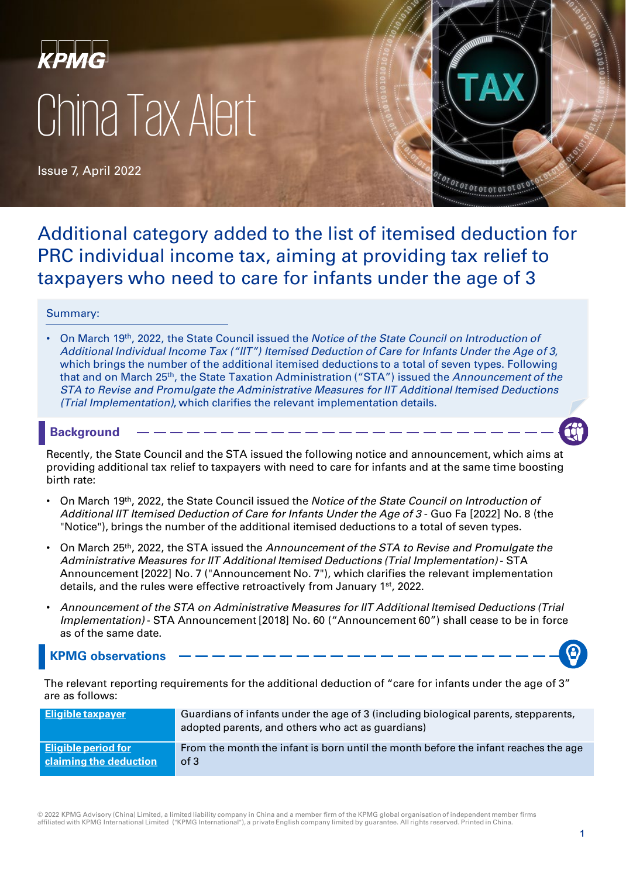

Issue 7, April 2022



Additional category added to the list of itemised deduction for PRC individual income tax, aiming at providing tax relief to taxpayers who need to care for infants under the age of 3

### Summary:

• On March 19th, 2022, the State Council issued the *Notice of the State Council on Introduction of Additional Individual Income Tax ("IIT") Itemised Deduction of Care for Infants Under the Age of 3*, which brings the number of the additional itemised deductions to a total of seven types. Following that and on March 25th, the State Taxation Administration ("STA") issued the *Announcement of the STA to Revise and Promulgate the Administrative Measures for IIT Additional Itemised Deductions (Trial Implementation)*, which clarifies the relevant implementation details.

### **Background**

Recently, the State Council and the STA issued the following notice and announcement, which aims at providing additional tax relief to taxpayers with need to care for infants and at the same time boosting birth rate:

- On March 19th, 2022, the State Council issued the *Notice of the State Council on Introduction of Additional IIT Itemised Deduction of Care for Infants Under the Age of 3* - Guo Fa [2022] No. 8 (the "Notice"), brings the number of the additional itemised deductions to a total of seven types.
- On March 25th, 2022, the STA issued the *Announcement of the STA to Revise and Promulgate the Administrative Measures for IIT Additional Itemised Deductions (Trial Implementation)* - STA Announcement [2022] No. 7 ("Announcement No. 7"), which clarifies the relevant implementation details, and the rules were effective retroactively from January 1<sup>st</sup>, 2022.
- *Announcement of the STA on Administrative Measures for IIT Additional Itemised Deductions (Trial Implementation)* - STA Announcement [2018] No. 60 ("Announcement 60") shall cease to be in force as of the same date.

## **KPMG observations**

The relevant reporting requirements for the additional deduction of "care for infants under the age of 3" are as follows:

| <b>Eligible taxpayer</b>   | Guardians of infants under the age of 3 (including biological parents, stepparents,<br>adopted parents, and others who act as guardians) |
|----------------------------|------------------------------------------------------------------------------------------------------------------------------------------|
| <b>Eligible period for</b> | From the month the infant is born until the month before the infant reaches the age                                                      |
| claiming the deduction     | of 3                                                                                                                                     |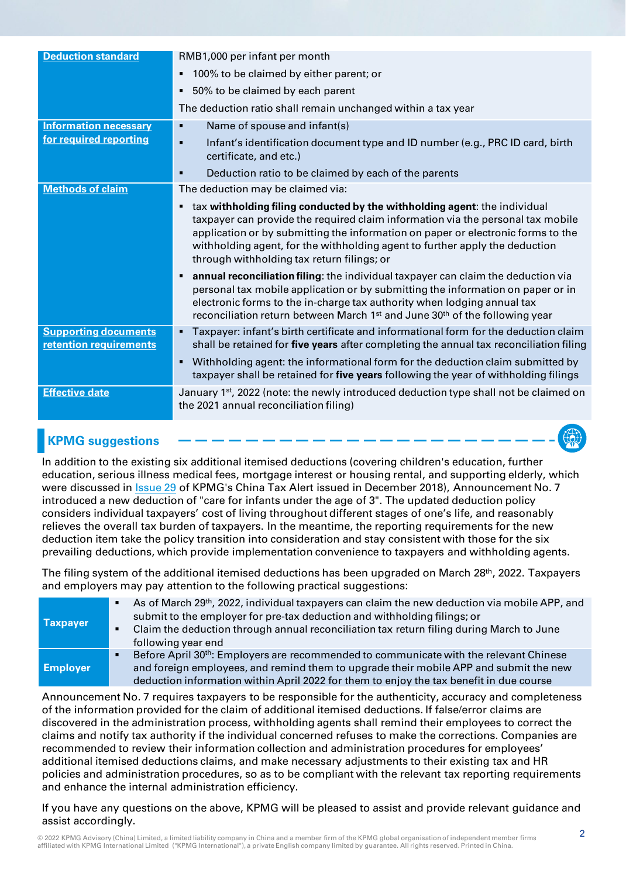| <b>Deduction standard</b>                             | RMB1,000 per infant per month                                                                                                                                                                                                                                                                                                                                                      |  |  |  |  |
|-------------------------------------------------------|------------------------------------------------------------------------------------------------------------------------------------------------------------------------------------------------------------------------------------------------------------------------------------------------------------------------------------------------------------------------------------|--|--|--|--|
|                                                       | 100% to be claimed by either parent; or<br>$\blacksquare$                                                                                                                                                                                                                                                                                                                          |  |  |  |  |
|                                                       | 50% to be claimed by each parent<br>٠                                                                                                                                                                                                                                                                                                                                              |  |  |  |  |
|                                                       | The deduction ratio shall remain unchanged within a tax year                                                                                                                                                                                                                                                                                                                       |  |  |  |  |
| <b>Information necessary</b>                          | Name of spouse and infant(s)<br>٠                                                                                                                                                                                                                                                                                                                                                  |  |  |  |  |
| for required reporting                                | Infant's identification document type and ID number (e.g., PRC ID card, birth<br>$\blacksquare$<br>certificate, and etc.)                                                                                                                                                                                                                                                          |  |  |  |  |
|                                                       | Deduction ratio to be claimed by each of the parents<br>п                                                                                                                                                                                                                                                                                                                          |  |  |  |  |
| <b>Methods of claim</b>                               | The deduction may be claimed via:                                                                                                                                                                                                                                                                                                                                                  |  |  |  |  |
|                                                       | tax withholding filing conducted by the withholding agent: the individual<br>٠<br>taxpayer can provide the required claim information via the personal tax mobile<br>application or by submitting the information on paper or electronic forms to the<br>withholding agent, for the withholding agent to further apply the deduction<br>through withholding tax return filings; or |  |  |  |  |
|                                                       | annual reconciliation filing: the individual taxpayer can claim the deduction via<br>٠<br>personal tax mobile application or by submitting the information on paper or in<br>electronic forms to the in-charge tax authority when lodging annual tax<br>reconciliation return between March 1 <sup>st</sup> and June 30 <sup>th</sup> of the following year                        |  |  |  |  |
| <b>Supporting documents</b><br>retention requirements | Taxpayer: infant's birth certificate and informational form for the deduction claim<br>٠<br>shall be retained for five years after completing the annual tax reconciliation filing                                                                                                                                                                                                 |  |  |  |  |
|                                                       | Withholding agent: the informational form for the deduction claim submitted by<br>$\blacksquare$<br>taxpayer shall be retained for five years following the year of withholding filings                                                                                                                                                                                            |  |  |  |  |
| <b>Effective date</b>                                 | January 1 <sup>st</sup> , 2022 (note: the newly introduced deduction type shall not be claimed on<br>the 2021 annual reconciliation filing)                                                                                                                                                                                                                                        |  |  |  |  |

# **KPMG suggestions**

In addition to the existing six additional itemised deductions (covering children's education, further education, serious illness medical fees, mortgage interest or housing rental, and supporting elderly, which were discussed in [Issue 29](https://home.kpmg/cn/en/home/insights/2018/12/china-tax-alert-29.html) of KPMG's China Tax Alert issued in December 2018), Announcement No. 7 introduced a new deduction of "care for infants under the age of 3". The updated deduction policy considers individual taxpayers' cost of living throughout different stages of one's life, and reasonably relieves the overall tax burden of taxpayers. In the meantime, the reporting requirements for the new deduction item take the policy transition into consideration and stay consistent with those for the six prevailing deductions, which provide implementation convenience to taxpayers and withholding agents.

The filing system of the additional itemised deductions has been upgraded on March 28<sup>th</sup>, 2022. Taxpayers and employers may pay attention to the following practical suggestions:

| <b>Taxpayer</b> | $\blacksquare$ | As of March 29 <sup>th</sup> , 2022, individual taxpayers can claim the new deduction via mobile APP, and |
|-----------------|----------------|-----------------------------------------------------------------------------------------------------------|
|                 |                | submit to the employer for pre-tax deduction and withholding filings; or                                  |
|                 | ٠              | Claim the deduction through annual reconciliation tax return filing during March to June                  |
|                 |                | following year end                                                                                        |
|                 |                | Before April 30 <sup>th</sup> : Employers are recommended to communicate with the relevant Chinese        |
| <b>Employer</b> |                | and foreign employees, and remind them to upgrade their mobile APP and submit the new                     |
|                 |                | deduction information within April 2022 for them to enjoy the tax benefit in due course                   |

Announcement No. 7 requires taxpayers to be responsible for the authenticity, accuracy and completeness of the information provided for the claim of additional itemised deductions. If false/error claims are discovered in the administration process, withholding agents shall remind their employees to correct the claims and notify tax authority if the individual concerned refuses to make the corrections. Companies are recommended to review their information collection and administration procedures for employees' additional itemised deductions claims, and make necessary adjustments to their existing tax and HR policies and administration procedures, so as to be compliant with the relevant tax reporting requirements and enhance the internal administration efficiency.

If you have any questions on the above, KPMG will be pleased to assist and provide relevant guidance and assist accordingly.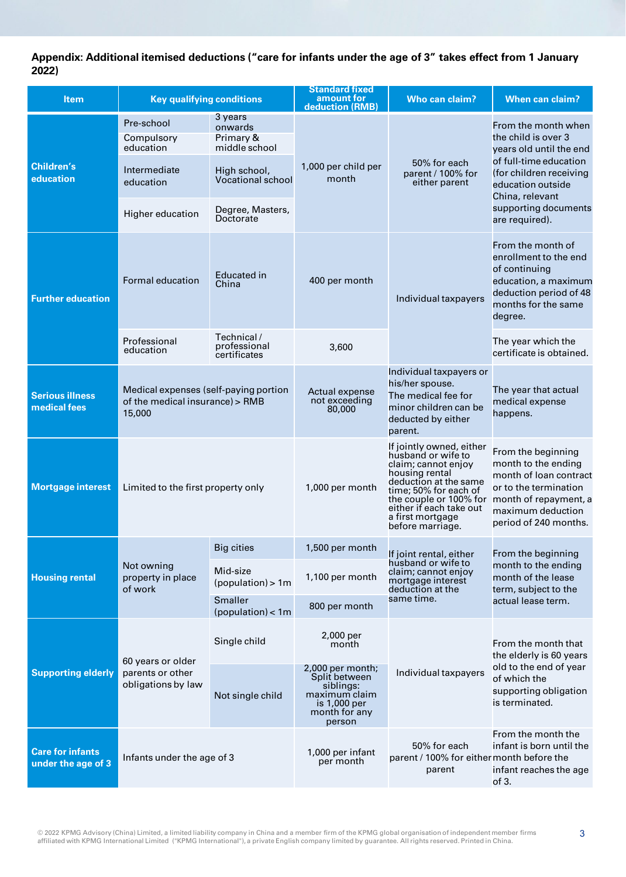### **Appendix: Additional itemised deductions ("care for infants under the age of 3" takes effect from 1 January 2022)**

| <b>Item</b>                                   | <b>Key qualifying conditions</b>                                                   |                                                  | <b>Standard fixed</b><br>amount for                                                                        | Who can claim?                                                                                                                                                                                                                         | <b>When can claim?</b>                                                                                                                                                                                       |
|-----------------------------------------------|------------------------------------------------------------------------------------|--------------------------------------------------|------------------------------------------------------------------------------------------------------------|----------------------------------------------------------------------------------------------------------------------------------------------------------------------------------------------------------------------------------------|--------------------------------------------------------------------------------------------------------------------------------------------------------------------------------------------------------------|
|                                               |                                                                                    |                                                  | deduction (RMB)                                                                                            |                                                                                                                                                                                                                                        |                                                                                                                                                                                                              |
| <b>Children's</b><br>education                | Pre-school<br>Compulsory<br>education                                              | 3 years<br>onwards<br>Primary &<br>middle school |                                                                                                            | 50% for each<br>parent / 100% for<br>either parent                                                                                                                                                                                     | From the month when<br>the child is over 3<br>years old until the end<br>of full-time education<br>(for children receiving<br>education outside<br>China, relevant<br>supporting documents<br>are required). |
|                                               | Intermediate<br>education                                                          | High school,<br><b>Vocational school</b>         | 1,000 per child per<br>month                                                                               |                                                                                                                                                                                                                                        |                                                                                                                                                                                                              |
|                                               | Higher education                                                                   | Degree, Masters,<br>Doctorate                    |                                                                                                            |                                                                                                                                                                                                                                        |                                                                                                                                                                                                              |
| <b>Further education</b>                      | Formal education                                                                   | <b>Educated in</b><br>China                      | 400 per month                                                                                              | Individual taxpayers                                                                                                                                                                                                                   | From the month of<br>enrollment to the end<br>of continuing<br>education, a maximum<br>deduction period of 48<br>months for the same<br>degree.                                                              |
|                                               | Professional<br>education                                                          | Technical /<br>professional<br>certificates      | 3,600                                                                                                      |                                                                                                                                                                                                                                        | The year which the<br>certificate is obtained.                                                                                                                                                               |
| <b>Serious illness</b><br>medical fees        | Medical expenses (self-paying portion<br>of the medical insurance) > RMB<br>15,000 |                                                  | Actual expense<br>not exceeding<br>80,000                                                                  | Individual taxpayers or<br>his/her spouse.<br>The medical fee for<br>minor children can be<br>deducted by either<br>parent.                                                                                                            | The year that actual<br>medical expense<br>happens.                                                                                                                                                          |
| <b>Mortgage interest</b>                      | Limited to the first property only                                                 |                                                  | 1,000 per month                                                                                            | If jointly owned, either<br>husband or wife to<br>claim; cannot enjoy<br>housing rental<br>deduction at the same<br>time; 50% for each of<br>the couple or 100% for<br>either if each take out<br>a first mortgage<br>before marriage. | From the beginning<br>month to the ending<br>month of loan contract<br>or to the termination<br>month of repayment, a<br>maximum deduction<br>period of 240 months.                                          |
| <b>Housing rental</b>                         | Not owning<br>property in place<br>of work                                         | <b>Big cities</b>                                | 1,500 per month                                                                                            | If joint rental, either<br>husband or wife to<br>claim; cannot enjoy<br>mortgage interest<br>deduction at the<br>same time.                                                                                                            | From the beginning<br>month to the ending<br>month of the lease<br>term, subject to the<br>actual lease term.                                                                                                |
|                                               |                                                                                    | Mid-size<br>(population) > 1m                    | 1,100 per month                                                                                            |                                                                                                                                                                                                                                        |                                                                                                                                                                                                              |
|                                               |                                                                                    | Smaller<br>(population) < 1m                     | 800 per month                                                                                              |                                                                                                                                                                                                                                        |                                                                                                                                                                                                              |
| <b>Supporting elderly</b>                     | 60 years or older<br>parents or other<br>obligations by law                        | Single child                                     | 2,000 per<br>month                                                                                         | Individual taxpayers                                                                                                                                                                                                                   | From the month that<br>the elderly is 60 years<br>old to the end of year<br>of which the<br>supporting obligation<br>is terminated.                                                                          |
|                                               |                                                                                    | Not single child                                 | 2,000 per month;<br>Split between<br>siblings:<br>maximum claim<br>is 1,000 per<br>month for any<br>person |                                                                                                                                                                                                                                        |                                                                                                                                                                                                              |
| <b>Care for infants</b><br>under the age of 3 | Infants under the age of 3                                                         |                                                  | 1,000 per infant<br>per month                                                                              | 50% for each<br>parent / 100% for either month before the<br>parent                                                                                                                                                                    | From the month the<br>infant is born until the<br>infant reaches the age<br>of 3.                                                                                                                            |